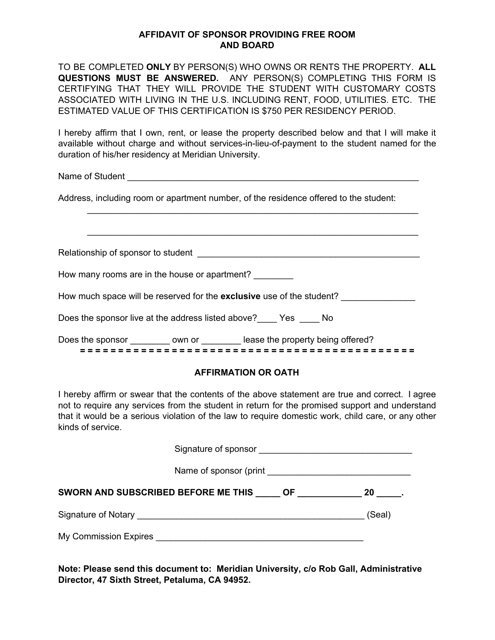## **AFFIDAVIT OF SPONSOR PROVIDING FREE ROOM AND BOARD**

TO BE COMPLETED **ONLY** BY PERSON(S) WHO OWNS OR RENTS THE PROPERTY. **ALL QUESTIONS MUST BE ANSWERED.** ANY PERSON(S) COMPLETING THIS FORM IS CERTIFYING THAT THEY WILL PROVIDE THE STUDENT WITH CUSTOMARY COSTS ASSOCIATED WITH LIVING IN THE U.S. INCLUDING RENT, FOOD, UTILITIES. ETC. THE ESTIMATED VALUE OF THIS CERTIFICATION IS \$750 PER RESIDENCY PERIOD.

I hereby affirm that I own, rent, or lease the property described below and that I will make it available without charge and without services-in-lieu-of-payment to the student named for the duration of his/her residency at Meridian University.

\_\_\_\_\_\_\_\_\_\_\_\_\_\_\_\_\_\_\_\_\_\_\_\_\_\_\_\_\_\_\_\_\_\_\_\_\_\_\_\_\_\_\_\_\_\_\_\_\_\_\_\_\_\_\_\_\_\_\_\_\_\_\_\_\_\_\_

\_\_\_\_\_\_\_\_\_\_\_\_\_\_\_\_\_\_\_\_\_\_\_\_\_\_\_\_\_\_\_\_\_\_\_\_\_\_\_\_\_\_\_\_\_\_\_\_\_\_\_\_\_\_\_\_\_\_\_\_\_\_\_\_\_\_\_

Name of Student **Alternative Contract Alternative Contract Alternative Contract Alternative Contract Alternative Contract Alternative Contract Alternative Contract Alternative Contract Alternative Contract Alternative Cont** 

Address, including room or apartment number, of the residence offered to the student:

Relationship of sponsor to student **Example 20** and the set of the set of the set of the set of the set of the set of the set of the set of the set of the set of the set of the set of the set of the set of the set of the s

How many rooms are in the house or apartment?

How much space will be reserved for the **exclusive** use of the student? \_\_\_\_\_\_\_\_\_\_\_\_\_\_\_

Does the sponsor live at the address listed above?\_\_\_\_ Yes \_\_\_\_ No

Does the sponsor \_\_\_\_\_\_\_\_\_\_ own or \_\_\_\_\_\_\_\_\_ lease the property being offered? **= = = = = = = = = = = = = = = = = = = = = = = = = = = = = = = = = = = = = = = = = = = =**

## **AFFIRMATION OR OATH**

I hereby affirm or swear that the contents of the above statement are true and correct. I agree not to require any services from the student in return for the promised support and understand that it would be a serious violation of the law to require domestic work, child care, or any other kinds of service.

| SWORN AND SUBSCRIBED BEFORE ME THIS OF 20 20 |        |
|----------------------------------------------|--------|
|                                              | (Seal) |
| My Commission Expires <b>Example 2018</b>    |        |

**Note: Please send this document to: Meridian University, c/o Rob Gall, Administrative Director, 47 Sixth Street, Petaluma, CA 94952.**